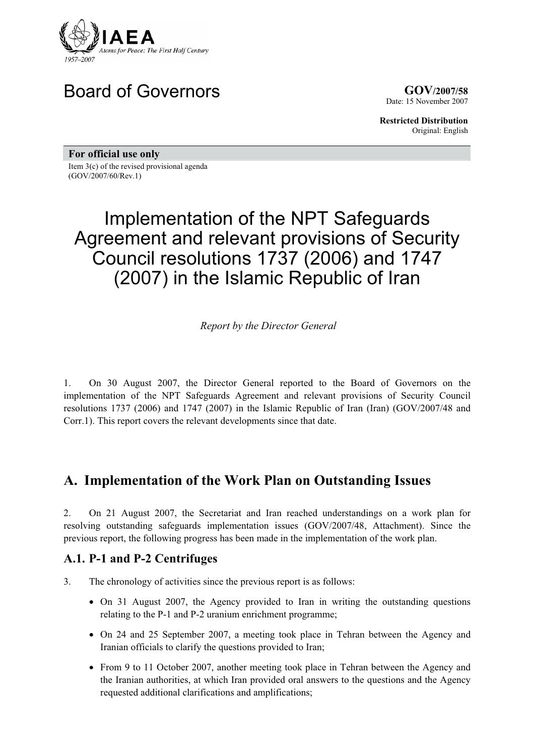

# Board of Governors **GOV**/2007/58

Date: 15 November 2007

**Restricted Distribution** Original: English

**For official use only** 

Item 3(c) of the revised provisional agenda (GOV/2007/60/Rev.1)

# Implementation of the NPT Safeguards Agreement and relevant provisions of Security Council resolutions 1737 (2006) and 1747 (2007) in the Islamic Republic of Iran

*Report by the Director General* 

1. On 30 August 2007, the Director General reported to the Board of Governors on the implementation of the NPT Safeguards Agreement and relevant provisions of Security Council resolutions 1737 (2006) and 1747 (2007) in the Islamic Republic of Iran (Iran) (GOV/2007/48 and Corr.1). This report covers the relevant developments since that date.

## **A. Implementation of the Work Plan on Outstanding Issues**

2. On 21 August 2007, the Secretariat and Iran reached understandings on a work plan for resolving outstanding safeguards implementation issues (GOV/2007/48, Attachment). Since the previous report, the following progress has been made in the implementation of the work plan.

#### **A.1. P-1 and P-2 Centrifuges**

- 3. The chronology of activities since the previous report is as follows:
	- On 31 August 2007, the Agency provided to Iran in writing the outstanding questions relating to the P-1 and P-2 uranium enrichment programme;
	- On 24 and 25 September 2007, a meeting took place in Tehran between the Agency and Iranian officials to clarify the questions provided to Iran;
	- From 9 to 11 October 2007, another meeting took place in Tehran between the Agency and the Iranian authorities, at which Iran provided oral answers to the questions and the Agency requested additional clarifications and amplifications;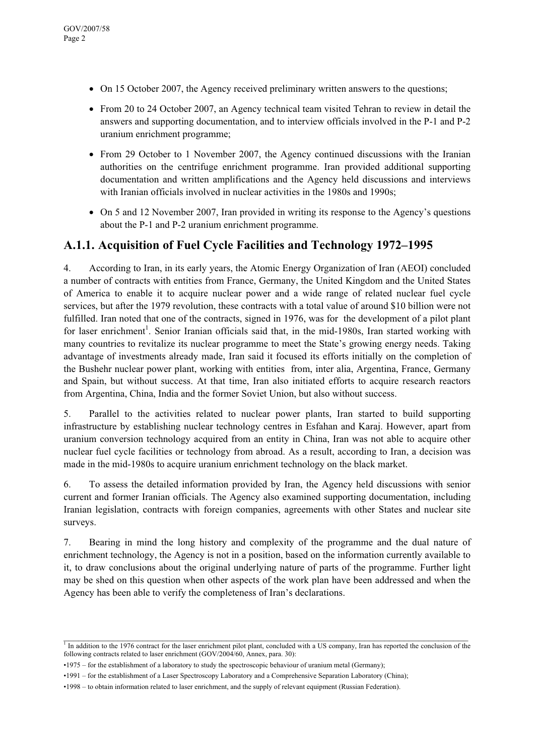- $\bullet$  On 15 October 2007, the Agency received preliminary written answers to the questions;
- From 20 to 24 October 2007, an Agency technical team visited Tehran to review in detail the answers and supporting documentation, and to interview officials involved in the P-1 and P-2 uranium enrichment programme;
- From 29 October to 1 November 2007, the Agency continued discussions with the Iranian authorities on the centrifuge enrichment programme. Iran provided additional supporting documentation and written amplifications and the Agency held discussions and interviews with Iranian officials involved in nuclear activities in the 1980s and 1990s;
- On 5 and 12 November 2007, Iran provided in writing its response to the Agency's questions about the P-1 and P-2 uranium enrichment programme.

#### **A.1.1. Acquisition of Fuel Cycle Facilities and Technology 1972–1995**

4. According to Iran, in its early years, the Atomic Energy Organization of Iran (AEOI) concluded a number of contracts with entities from France, Germany, the United Kingdom and the United States of America to enable it to acquire nuclear power and a wide range of related nuclear fuel cycle services, but after the 1979 revolution, these contracts with a total value of around \$10 billion were not fulfilled. Iran noted that one of the contracts, signed in 1976, was for the development of a pilot plant for laser enrichment<sup>1</sup>. Senior Iranian officials said that, in the mid-1980s, Iran started working with many countries to revitalize its nuclear programme to meet the State's growing energy needs. Taking advantage of investments already made, Iran said it focused its efforts initially on the completion of the Bushehr nuclear power plant, working with entities from, inter alia, Argentina, France, Germany and Spain, but without success. At that time, Iran also initiated efforts to acquire research reactors from Argentina, China, India and the former Soviet Union, but also without success.

5. Parallel to the activities related to nuclear power plants, Iran started to build supporting infrastructure by establishing nuclear technology centres in Esfahan and Karaj. However, apart from uranium conversion technology acquired from an entity in China, Iran was not able to acquire other nuclear fuel cycle facilities or technology from abroad. As a result, according to Iran, a decision was made in the mid-1980s to acquire uranium enrichment technology on the black market.

6. To assess the detailed information provided by Iran, the Agency held discussions with senior current and former Iranian officials. The Agency also examined supporting documentation, including Iranian legislation, contracts with foreign companies, agreements with other States and nuclear site surveys.

7. Bearing in mind the long history and complexity of the programme and the dual nature of enrichment technology, the Agency is not in a position, based on the information currently available to it, to draw conclusions about the original underlying nature of parts of the programme. Further light may be shed on this question when other aspects of the work plan have been addressed and when the Agency has been able to verify the completeness of Iran's declarations.

 $\_$ <sup>1</sup> In addition to the 1976 contract for the laser enrichment pilot plant, concluded with a US company, Iran has reported the conclusion of the following contracts related to laser enrichment (GOV/2004/60, Annex, para. 30):

<sup>•1975 –</sup> for the establishment of a laboratory to study the spectroscopic behaviour of uranium metal (Germany);

<sup>•1991 –</sup> for the establishment of a Laser Spectroscopy Laboratory and a Comprehensive Separation Laboratory (China);

<sup>•1998 –</sup> to obtain information related to laser enrichment, and the supply of relevant equipment (Russian Federation).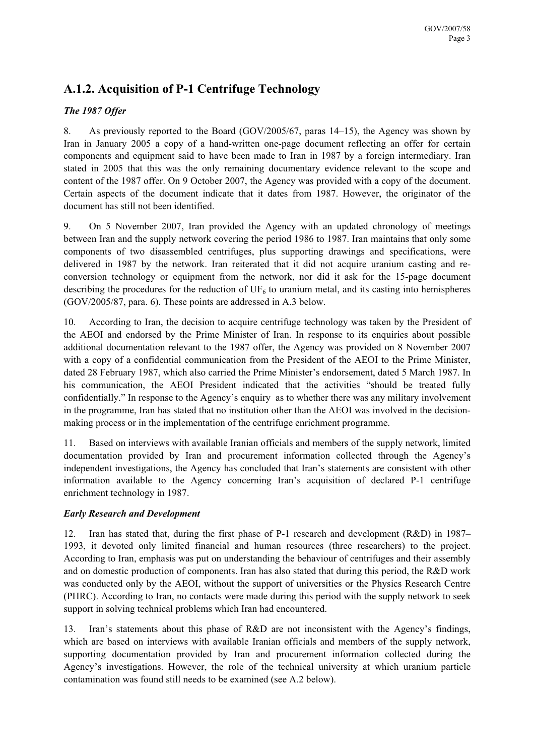## **A.1.2. Acquisition of P-1 Centrifuge Technology**

#### *The 1987 Offer*

8. As previously reported to the Board (GOV/2005/67, paras 14–15), the Agency was shown by Iran in January 2005 a copy of a hand-written one-page document reflecting an offer for certain components and equipment said to have been made to Iran in 1987 by a foreign intermediary. Iran stated in 2005 that this was the only remaining documentary evidence relevant to the scope and content of the 1987 offer. On 9 October 2007, the Agency was provided with a copy of the document. Certain aspects of the document indicate that it dates from 1987. However, the originator of the document has still not been identified.

9. On 5 November 2007, Iran provided the Agency with an updated chronology of meetings between Iran and the supply network covering the period 1986 to 1987. Iran maintains that only some components of two disassembled centrifuges, plus supporting drawings and specifications, were delivered in 1987 by the network. Iran reiterated that it did not acquire uranium casting and reconversion technology or equipment from the network, nor did it ask for the 15-page document describing the procedures for the reduction of  $UF_6$  to uranium metal, and its casting into hemispheres (GOV/2005/87, para. 6). These points are addressed in A.3 below.

10. According to Iran, the decision to acquire centrifuge technology was taken by the President of the AEOI and endorsed by the Prime Minister of Iran. In response to its enquiries about possible additional documentation relevant to the 1987 offer, the Agency was provided on 8 November 2007 with a copy of a confidential communication from the President of the AEOI to the Prime Minister, dated 28 February 1987, which also carried the Prime Minister's endorsement, dated 5 March 1987. In his communication, the AEOI President indicated that the activities "should be treated fully confidentially." In response to the Agency's enquiry as to whether there was any military involvement in the programme, Iran has stated that no institution other than the AEOI was involved in the decisionmaking process or in the implementation of the centrifuge enrichment programme.

11. Based on interviews with available Iranian officials and members of the supply network, limited documentation provided by Iran and procurement information collected through the Agency's independent investigations, the Agency has concluded that Iran's statements are consistent with other information available to the Agency concerning Iran's acquisition of declared P-1 centrifuge enrichment technology in 1987.

#### *Early Research and Development*

12. Iran has stated that, during the first phase of P-1 research and development (R&D) in 1987– 1993, it devoted only limited financial and human resources (three researchers) to the project. According to Iran, emphasis was put on understanding the behaviour of centrifuges and their assembly and on domestic production of components. Iran has also stated that during this period, the R&D work was conducted only by the AEOI, without the support of universities or the Physics Research Centre (PHRC). According to Iran, no contacts were made during this period with the supply network to seek support in solving technical problems which Iran had encountered.

13. Iran's statements about this phase of R&D are not inconsistent with the Agency's findings, which are based on interviews with available Iranian officials and members of the supply network, supporting documentation provided by Iran and procurement information collected during the Agency's investigations. However, the role of the technical university at which uranium particle contamination was found still needs to be examined (see A.2 below).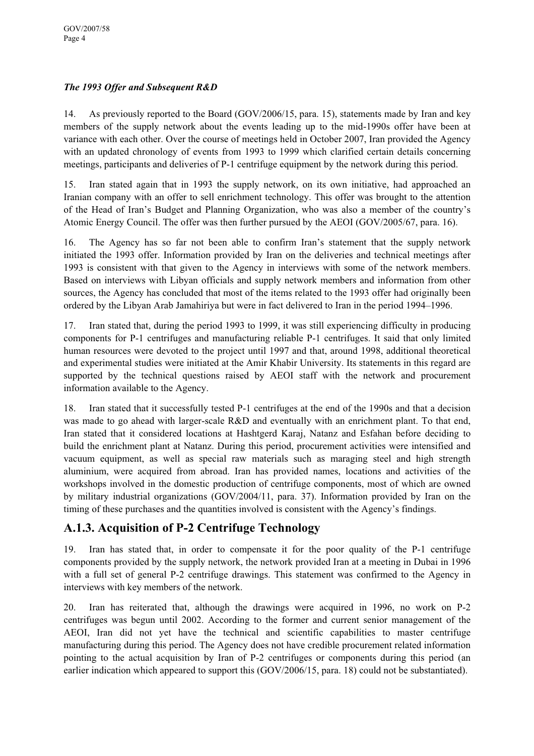#### *The 1993 Offer and Subsequent R&D*

14. As previously reported to the Board (GOV/2006/15, para. 15), statements made by Iran and key members of the supply network about the events leading up to the mid-1990s offer have been at variance with each other. Over the course of meetings held in October 2007, Iran provided the Agency with an updated chronology of events from 1993 to 1999 which clarified certain details concerning meetings, participants and deliveries of P-1 centrifuge equipment by the network during this period.

15. Iran stated again that in 1993 the supply network, on its own initiative, had approached an Iranian company with an offer to sell enrichment technology. This offer was brought to the attention of the Head of Iran's Budget and Planning Organization, who was also a member of the country's Atomic Energy Council. The offer was then further pursued by the AEOI (GOV/2005/67, para. 16).

16. The Agency has so far not been able to confirm Iran's statement that the supply network initiated the 1993 offer. Information provided by Iran on the deliveries and technical meetings after 1993 is consistent with that given to the Agency in interviews with some of the network members. Based on interviews with Libyan officials and supply network members and information from other sources, the Agency has concluded that most of the items related to the 1993 offer had originally been ordered by the Libyan Arab Jamahiriya but were in fact delivered to Iran in the period 1994–1996.

17. Iran stated that, during the period 1993 to 1999, it was still experiencing difficulty in producing components for P-1 centrifuges and manufacturing reliable P-1 centrifuges. It said that only limited human resources were devoted to the project until 1997 and that, around 1998, additional theoretical and experimental studies were initiated at the Amir Khabir University. Its statements in this regard are supported by the technical questions raised by AEOI staff with the network and procurement information available to the Agency.

18. Iran stated that it successfully tested P-1 centrifuges at the end of the 1990s and that a decision was made to go ahead with larger-scale R&D and eventually with an enrichment plant. To that end, Iran stated that it considered locations at Hashtgerd Karaj, Natanz and Esfahan before deciding to build the enrichment plant at Natanz. During this period, procurement activities were intensified and vacuum equipment, as well as special raw materials such as maraging steel and high strength aluminium, were acquired from abroad. Iran has provided names, locations and activities of the workshops involved in the domestic production of centrifuge components, most of which are owned by military industrial organizations (GOV/2004/11, para. 37). Information provided by Iran on the timing of these purchases and the quantities involved is consistent with the Agency's findings.

#### **A.1.3. Acquisition of P-2 Centrifuge Technology**

19. Iran has stated that, in order to compensate it for the poor quality of the P-1 centrifuge components provided by the supply network, the network provided Iran at a meeting in Dubai in 1996 with a full set of general P-2 centrifuge drawings. This statement was confirmed to the Agency in interviews with key members of the network.

20. Iran has reiterated that, although the drawings were acquired in 1996, no work on P-2 centrifuges was begun until 2002. According to the former and current senior management of the AEOI, Iran did not yet have the technical and scientific capabilities to master centrifuge manufacturing during this period. The Agency does not have credible procurement related information pointing to the actual acquisition by Iran of P-2 centrifuges or components during this period (an earlier indication which appeared to support this (GOV/2006/15, para. 18) could not be substantiated).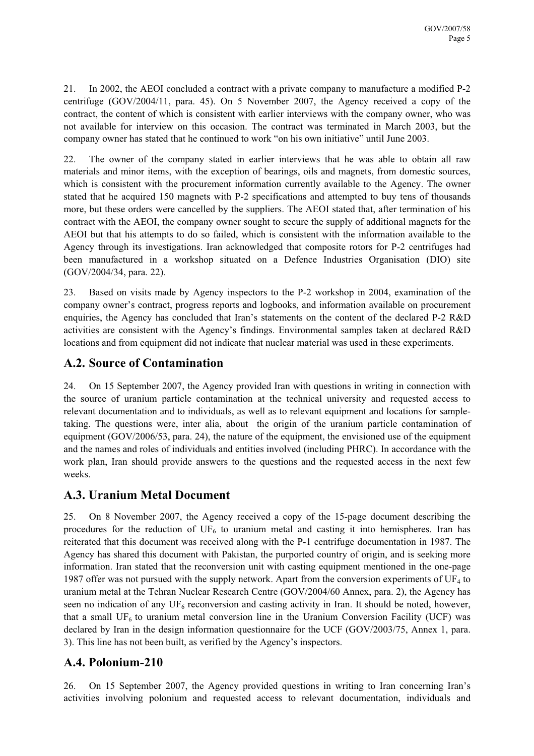21. In 2002, the AEOI concluded a contract with a private company to manufacture a modified P-2 centrifuge (GOV/2004/11, para. 45). On 5 November 2007, the Agency received a copy of the contract, the content of which is consistent with earlier interviews with the company owner, who was not available for interview on this occasion. The contract was terminated in March 2003, but the company owner has stated that he continued to work "on his own initiative" until June 2003.

22. The owner of the company stated in earlier interviews that he was able to obtain all raw materials and minor items, with the exception of bearings, oils and magnets, from domestic sources, which is consistent with the procurement information currently available to the Agency. The owner stated that he acquired 150 magnets with P-2 specifications and attempted to buy tens of thousands more, but these orders were cancelled by the suppliers. The AEOI stated that, after termination of his contract with the AEOI, the company owner sought to secure the supply of additional magnets for the AEOI but that his attempts to do so failed, which is consistent with the information available to the Agency through its investigations. Iran acknowledged that composite rotors for P-2 centrifuges had been manufactured in a workshop situated on a Defence Industries Organisation (DIO) site (GOV/2004/34, para. 22).

23. Based on visits made by Agency inspectors to the P-2 workshop in 2004, examination of the company owner's contract, progress reports and logbooks, and information available on procurement enquiries, the Agency has concluded that Iran's statements on the content of the declared P-2 R&D activities are consistent with the Agency's findings. Environmental samples taken at declared R&D locations and from equipment did not indicate that nuclear material was used in these experiments.

## **A.2. Source of Contamination**

24. On 15 September 2007, the Agency provided Iran with questions in writing in connection with the source of uranium particle contamination at the technical university and requested access to relevant documentation and to individuals, as well as to relevant equipment and locations for sampletaking. The questions were, inter alia, about the origin of the uranium particle contamination of equipment (GOV/2006/53, para. 24), the nature of the equipment, the envisioned use of the equipment and the names and roles of individuals and entities involved (including PHRC). In accordance with the work plan, Iran should provide answers to the questions and the requested access in the next few weeks.

## **A.3. Uranium Metal Document**

25. On 8 November 2007, the Agency received a copy of the 15-page document describing the procedures for the reduction of  $UF_6$  to uranium metal and casting it into hemispheres. Iran has reiterated that this document was received along with the P-1 centrifuge documentation in 1987. The Agency has shared this document with Pakistan, the purported country of origin, and is seeking more information. Iran stated that the reconversion unit with casting equipment mentioned in the one-page 1987 offer was not pursued with the supply network. Apart from the conversion experiments of  $UF_4$  to uranium metal at the Tehran Nuclear Research Centre (GOV/2004/60 Annex, para. 2), the Agency has seen no indication of any  $UF<sub>6</sub>$  reconversion and casting activity in Iran. It should be noted, however, that a small  $UF<sub>6</sub>$  to uranium metal conversion line in the Uranium Conversion Facility (UCF) was declared by Iran in the design information questionnaire for the UCF (GOV/2003/75, Annex 1, para. 3). This line has not been built, as verified by the Agency's inspectors.

## **A.4. Polonium-210**

26. On 15 September 2007, the Agency provided questions in writing to Iran concerning Iran's activities involving polonium and requested access to relevant documentation, individuals and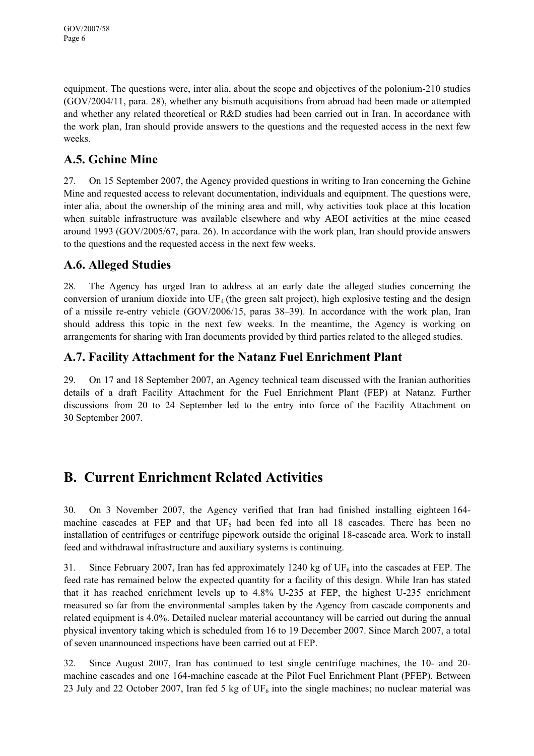equipment. The questions were, inter alia, about the scope and objectives of the polonium-210 studies (GOV/2004/11, para. 28), whether any bismuth acquisitions from abroad had been made or attempted and whether any related theoretical or R&D studies had been carried out in Iran. In accordance with the work plan, Iran should provide answers to the questions and the requested access in the next few weeks.

#### **A.5. Gchine Mine**

27. On 15 September 2007, the Agency provided questions in writing to Iran concerning the Gchine Mine and requested access to relevant documentation, individuals and equipment. The questions were, inter alia, about the ownership of the mining area and mill, why activities took place at this location when suitable infrastructure was available elsewhere and why AEOI activities at the mine ceased around 1993 (GOV/2005/67, para. 26). In accordance with the work plan, Iran should provide answers to the questions and the requested access in the next few weeks.

#### **A.6. Alleged Studies**

28. The Agency has urged Iran to address at an early date the alleged studies concerning the conversion of uranium dioxide into  $UF_4$  (the green salt project), high explosive testing and the design of a missile re-entry vehicle (GOV/2006/15, paras 38–39). In accordance with the work plan, Iran should address this topic in the next few weeks. In the meantime, the Agency is working on arrangements for sharing with Iran documents provided by third parties related to the alleged studies.

#### **A.7. Facility Attachment for the Natanz Fuel Enrichment Plant**

29. On 17 and 18 September 2007, an Agency technical team discussed with the Iranian authorities details of a draft Facility Attachment for the Fuel Enrichment Plant (FEP) at Natanz. Further discussions from 20 to 24 September led to the entry into force of the Facility Attachment on 30 September 2007.

# **B. Current Enrichment Related Activities**

30. On 3 November 2007, the Agency verified that Iran had finished installing eighteen 164 machine cascades at FEP and that  $UF_6$  had been fed into all 18 cascades. There has been no installation of centrifuges or centrifuge pipework outside the original 18-cascade area. Work to install feed and withdrawal infrastructure and auxiliary systems is continuing.

31. Since February 2007, Iran has fed approximately 1240 kg of  $UF_6$  into the cascades at FEP. The feed rate has remained below the expected quantity for a facility of this design. While Iran has stated that it has reached enrichment levels up to 4.8% U-235 at FEP, the highest U-235 enrichment measured so far from the environmental samples taken by the Agency from cascade components and related equipment is 4.0%. Detailed nuclear material accountancy will be carried out during the annual physical inventory taking which is scheduled from 16 to 19 December 2007. Since March 2007, a total of seven unannounced inspections have been carried out at FEP.

32. Since August 2007, Iran has continued to test single centrifuge machines, the 10- and 20 machine cascades and one 164-machine cascade at the Pilot Fuel Enrichment Plant (PFEP). Between 23 July and 22 October 2007, Iran fed 5 kg of  $UF_6$  into the single machines; no nuclear material was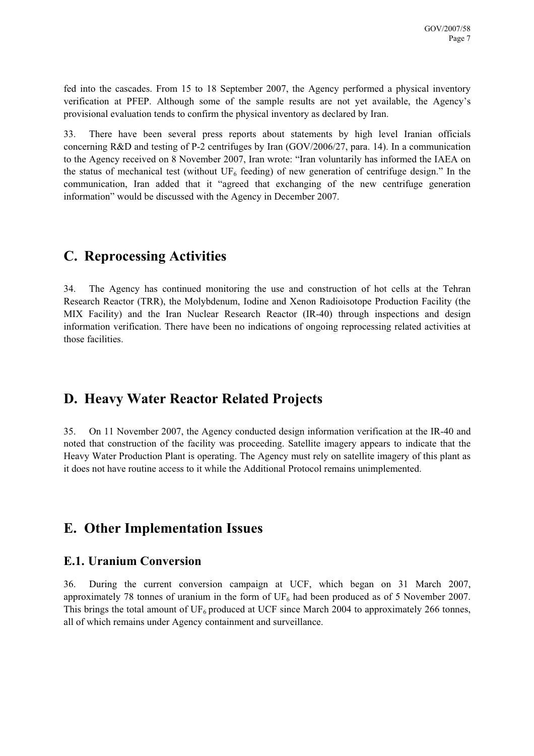fed into the cascades. From 15 to 18 September 2007, the Agency performed a physical inventory verification at PFEP. Although some of the sample results are not yet available, the Agency's provisional evaluation tends to confirm the physical inventory as declared by Iran.

33. There have been several press reports about statements by high level Iranian officials concerning R&D and testing of P-2 centrifuges by Iran (GOV/2006/27, para. 14). In a communication to the Agency received on 8 November 2007, Iran wrote: "Iran voluntarily has informed the IAEA on the status of mechanical test (without  $UF_6$  feeding) of new generation of centrifuge design." In the communication, Iran added that it "agreed that exchanging of the new centrifuge generation information" would be discussed with the Agency in December 2007.

## **C. Reprocessing Activities**

34. The Agency has continued monitoring the use and construction of hot cells at the Tehran Research Reactor (TRR), the Molybdenum, Iodine and Xenon Radioisotope Production Facility (the MIX Facility) and the Iran Nuclear Research Reactor (IR-40) through inspections and design information verification. There have been no indications of ongoing reprocessing related activities at those facilities.

## **D. Heavy Water Reactor Related Projects**

35. On 11 November 2007, the Agency conducted design information verification at the IR-40 and noted that construction of the facility was proceeding. Satellite imagery appears to indicate that the Heavy Water Production Plant is operating. The Agency must rely on satellite imagery of this plant as it does not have routine access to it while the Additional Protocol remains unimplemented.

## **E. Other Implementation Issues**

#### **E.1. Uranium Conversion**

36. During the current conversion campaign at UCF, which began on 31 March 2007, approximately 78 tonnes of uranium in the form of  $UF<sub>6</sub>$  had been produced as of 5 November 2007. This brings the total amount of  $UF_6$  produced at UCF since March 2004 to approximately 266 tonnes, all of which remains under Agency containment and surveillance.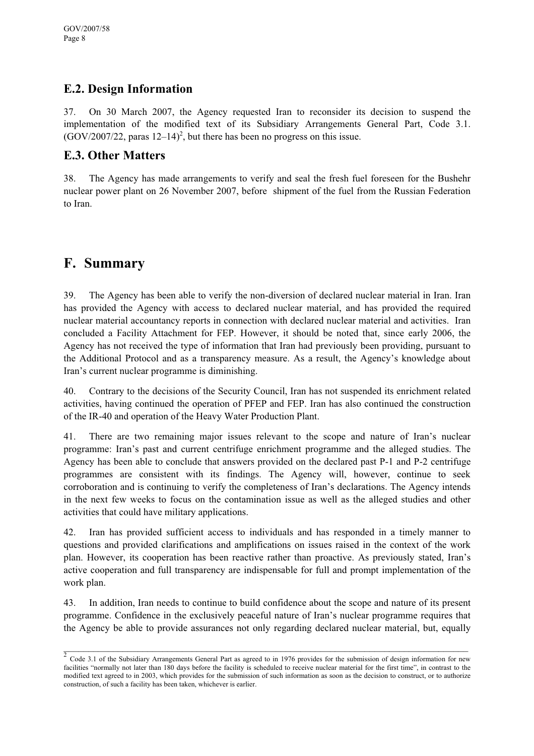#### **E.2. Design Information**

37. On 30 March 2007, the Agency requested Iran to reconsider its decision to suspend the implementation of the modified text of its Subsidiary Arrangements General Part, Code 3.1.  $(GOV/2007/22,$  paras  $12-14)^2$ , but there has been no progress on this issue.

#### **E.3. Other Matters**

38. The Agency has made arrangements to verify and seal the fresh fuel foreseen for the Bushehr nuclear power plant on 26 November 2007, before shipment of the fuel from the Russian Federation to Iran.

## **F. Summary**

39. The Agency has been able to verify the non-diversion of declared nuclear material in Iran. Iran has provided the Agency with access to declared nuclear material, and has provided the required nuclear material accountancy reports in connection with declared nuclear material and activities. Iran concluded a Facility Attachment for FEP. However, it should be noted that, since early 2006, the Agency has not received the type of information that Iran had previously been providing, pursuant to the Additional Protocol and as a transparency measure. As a result, the Agency's knowledge about Iran's current nuclear programme is diminishing.

40. Contrary to the decisions of the Security Council, Iran has not suspended its enrichment related activities, having continued the operation of PFEP and FEP. Iran has also continued the construction of the IR-40 and operation of the Heavy Water Production Plant.

41. There are two remaining major issues relevant to the scope and nature of Iran's nuclear programme: Iran's past and current centrifuge enrichment programme and the alleged studies. The Agency has been able to conclude that answers provided on the declared past P-1 and P-2 centrifuge programmes are consistent with its findings. The Agency will, however, continue to seek corroboration and is continuing to verify the completeness of Iran's declarations. The Agency intends in the next few weeks to focus on the contamination issue as well as the alleged studies and other activities that could have military applications.

42. Iran has provided sufficient access to individuals and has responded in a timely manner to questions and provided clarifications and amplifications on issues raised in the context of the work plan. However, its cooperation has been reactive rather than proactive. As previously stated, Iran's active cooperation and full transparency are indispensable for full and prompt implementation of the work plan.

43. In addition, Iran needs to continue to build confidence about the scope and nature of its present programme. Confidence in the exclusively peaceful nature of Iran's nuclear programme requires that the Agency be able to provide assurances not only regarding declared nuclear material, but, equally

 $\frac{1}{2}$  Code 3.1 of the Subsidiary Arrangements General Part as agreed to in 1976 provides for the submission of design information for new facilities "normally not later than 180 days before the facility is scheduled to receive nuclear material for the first time", in contrast to the modified text agreed to in 2003, which provides for the submission of such information as soon as the decision to construct, or to authorize construction, of such a facility has been taken, whichever is earlier.